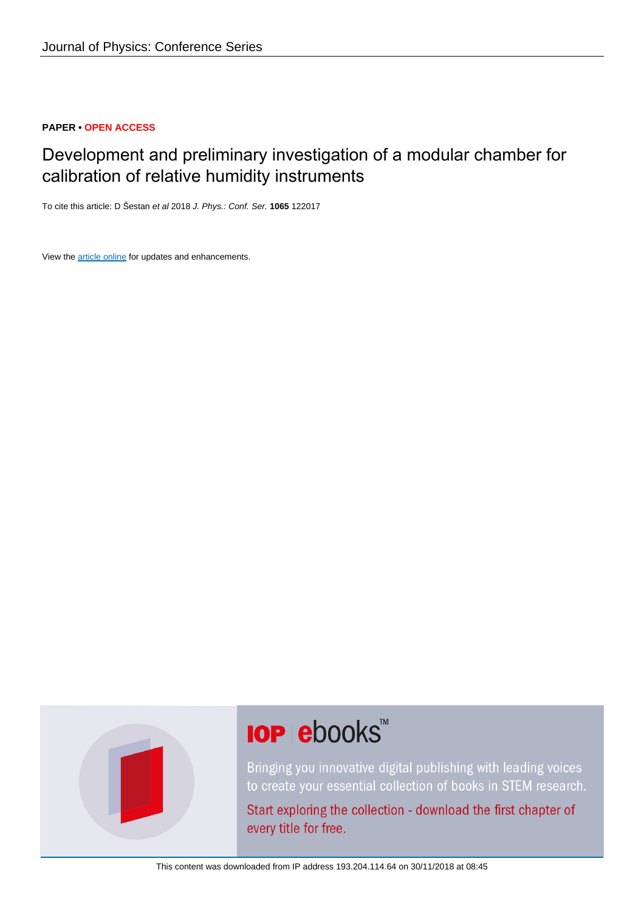#### **PAPER • OPEN ACCESS**

## Development and preliminary investigation of a modular chamber for calibration of relative humidity instruments

To cite this article: D Šestan et al 2018 J. Phys.: Conf. Ser. **1065** 122017

View the [article online](https://doi.org/10.1088/1742-6596/1065/12/122017) for updates and enhancements.



# **IOP ebooks**™

Bringing you innovative digital publishing with leading voices to create your essential collection of books in STEM research.

Start exploring the collection - download the first chapter of every title for free.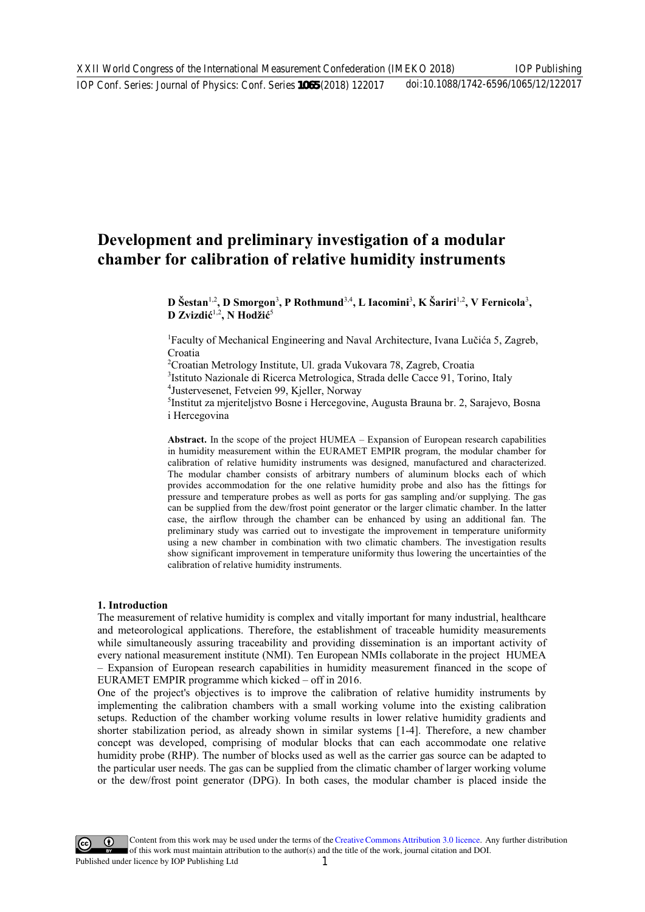### Development and preliminary investigation of a modular chamber for calibration of relative humidity instruments

D Šestan $^{1,2}$ , D Smorgon $^3$ , P Rothmund $^{3,4}$ , L Iacomini $^3$ , K Šariri $^{1,2}$ , V Fernicola $^3$ , D Zvizdić<sup>1,2</sup>, N Hodžić<sup>5</sup>

<sup>1</sup>Faculty of Mechanical Engineering and Naval Architecture, Ivana Lučića 5, Zagreb, Croatia

2 Croatian Metrology Institute, Ul. grada Vukovara 78, Zagreb, Croatia

<sup>3</sup>Istituto Nazionale di Ricerca Metrologica, Strada delle Cacce 91, Torino, Italy

4 Justervesenet, Fetveien 99, Kjeller, Norway

5 Institut za mjeriteljstvo Bosne i Hercegovine, Augusta Brauna br. 2, Sarajevo, Bosna i Hercegovina

Abstract. In the scope of the project HUMEA – Expansion of European research capabilities in humidity measurement within the EURAMET EMPIR program, the modular chamber for calibration of relative humidity instruments was designed, manufactured and characterized. The modular chamber consists of arbitrary numbers of aluminum blocks each of which provides accommodation for the one relative humidity probe and also has the fittings for pressure and temperature probes as well as ports for gas sampling and/or supplying. The gas can be supplied from the dew/frost point generator or the larger climatic chamber. In the latter case, the airflow through the chamber can be enhanced by using an additional fan. The preliminary study was carried out to investigate the improvement in temperature uniformity using a new chamber in combination with two climatic chambers. The investigation results show significant improvement in temperature uniformity thus lowering the uncertainties of the calibration of relative humidity instruments.

#### 1. Introduction

The measurement of relative humidity is complex and vitally important for many industrial, healthcare and meteorological applications. Therefore, the establishment of traceable humidity measurements while simultaneously assuring traceability and providing dissemination is an important activity of every national measurement institute (NMI). Ten European NMIs collaborate in the project HUMEA – Expansion of European research capabilities in humidity measurement financed in the scope of EURAMET EMPIR programme which kicked – off in 2016.

One of the project's objectives is to improve the calibration of relative humidity instruments by implementing the calibration chambers with a small working volume into the existing calibration setups. Reduction of the chamber working volume results in lower relative humidity gradients and shorter stabilization period, as already shown in similar systems [1-4]. Therefore, a new chamber concept was developed, comprising of modular blocks that can each accommodate one relative humidity probe (RHP). The number of blocks used as well as the carrier gas source can be adapted to the particular user needs. The gas can be supplied from the climatic chamber of larger working volume or the dew/frost point generator (DPG). In both cases, the modular chamber is placed inside the

Content from this work may be used under the terms of the[Creative Commons Attribution 3.0 licence.](http://creativecommons.org/licenses/by/3.0) Any further distribution of this work must maintain attribution to the author(s) and the title of the work, journal citation and DOI. Published under licence by IOP Publishing Ltd 1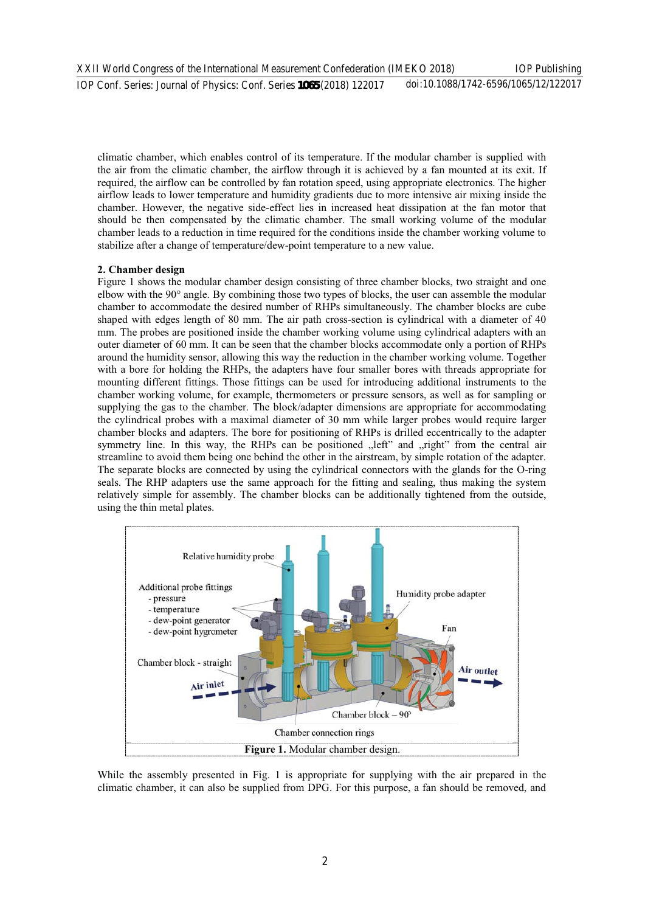climatic chamber, which enables control of its temperature. If the modular chamber is supplied with the air from the climatic chamber, the airflow through it is achieved by a fan mounted at its exit. If required, the airflow can be controlled by fan rotation speed, using appropriate electronics. The higher airflow leads to lower temperature and humidity gradients due to more intensive air mixing inside the chamber. However, the negative side-effect lies in increased heat dissipation at the fan motor that should be then compensated by the climatic chamber. The small working volume of the modular chamber leads to a reduction in time required for the conditions inside the chamber working volume to stabilize after a change of temperature/dew-point temperature to a new value.

#### 2. Chamber design

Figure 1 shows the modular chamber design consisting of three chamber blocks, two straight and one elbow with the 90° angle. By combining those two types of blocks, the user can assemble the modular chamber to accommodate the desired number of RHPs simultaneously. The chamber blocks are cube shaped with edges length of 80 mm. The air path cross-section is cylindrical with a diameter of 40 mm. The probes are positioned inside the chamber working volume using cylindrical adapters with an outer diameter of 60 mm. It can be seen that the chamber blocks accommodate only a portion of RHPs around the humidity sensor, allowing this way the reduction in the chamber working volume. Together with a bore for holding the RHPs, the adapters have four smaller bores with threads appropriate for mounting different fittings. Those fittings can be used for introducing additional instruments to the chamber working volume, for example, thermometers or pressure sensors, as well as for sampling or supplying the gas to the chamber. The block/adapter dimensions are appropriate for accommodating the cylindrical probes with a maximal diameter of 30 mm while larger probes would require larger chamber blocks and adapters. The bore for positioning of RHPs is drilled eccentrically to the adapter symmetry line. In this way, the RHPs can be positioned "left" and "right" from the central air streamline to avoid them being one behind the other in the airstream, by simple rotation of the adapter. The separate blocks are connected by using the cylindrical connectors with the glands for the O-ring seals. The RHP adapters use the same approach for the fitting and sealing, thus making the system relatively simple for assembly. The chamber blocks can be additionally tightened from the outside, using the thin metal plates.



While the assembly presented in Fig. 1 is appropriate for supplying with the air prepared in the climatic chamber, it can also be supplied from DPG. For this purpose, a fan should be removed, and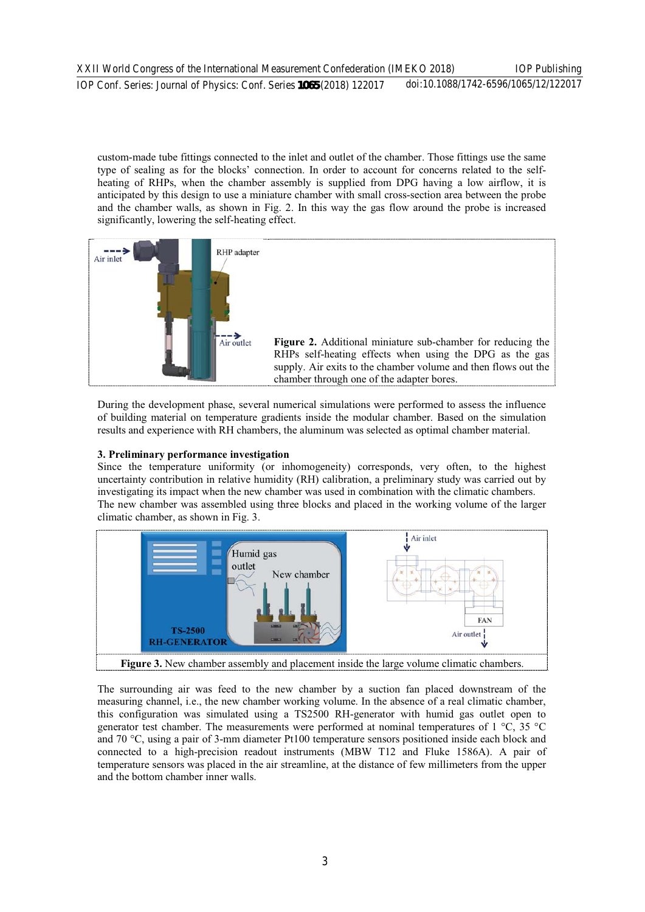custom-made tube fittings connected to the inlet and outlet of the chamber. Those fittings use the same type of sealing as for the blocks' connection. In order to account for concerns related to the selfheating of RHPs, when the chamber assembly is supplied from DPG having a low airflow, it is anticipated by this design to use a miniature chamber with small cross-section area between the probe and the chamber walls, as shown in Fig. 2. In this way the gas flow around the probe is increased significantly, lowering the self-heating effect.



During the development phase, several numerical simulations were performed to assess the influence of building material on temperature gradients inside the modular chamber. Based on the simulation results and experience with RH chambers, the aluminum was selected as optimal chamber material.

#### 3. Preliminary performance investigation

Since the temperature uniformity (or inhomogeneity) corresponds, very often, to the highest uncertainty contribution in relative humidity (RH) calibration, a preliminary study was carried out by investigating its impact when the new chamber was used in combination with the climatic chambers. The new chamber was assembled using three blocks and placed in the working volume of the larger climatic chamber, as shown in Fig. 3.



The surrounding air was feed to the new chamber by a suction fan placed downstream of the measuring channel, i.e., the new chamber working volume. In the absence of a real climatic chamber, this configuration was simulated using a TS2500 RH-generator with humid gas outlet open to generator test chamber. The measurements were performed at nominal temperatures of 1 °C, 35 °C and 70 °C, using a pair of 3-mm diameter Pt100 temperature sensors positioned inside each block and connected to a high-precision readout instruments (MBW T12 and Fluke 1586A). A pair of temperature sensors was placed in the air streamline, at the distance of few millimeters from the upper and the bottom chamber inner walls.